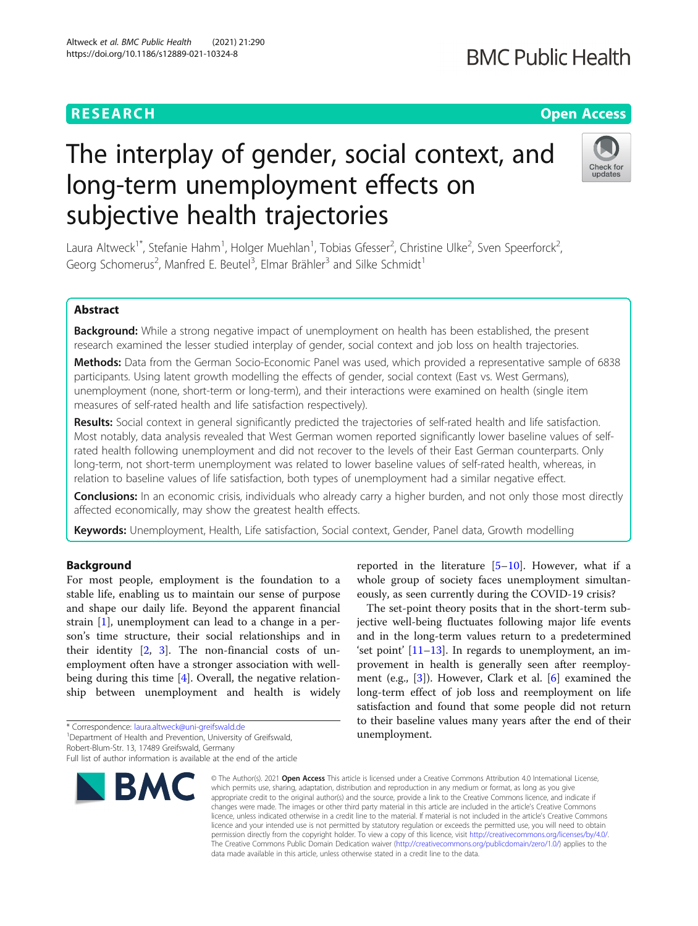### **RESEARCH CHINESE ARCH CHINESE ARCHITECT ARCHITECT ARCHITECT ARCHITECT ARCHITECT ARCHITECT ARCHITECT ARCHITECT ARCHITECT ARCHITECT ARCHITECT ARCHITECT ARCHITECT ARCHITECT ARCHITECT ARCHITECT ARCHITECT ARCHITECT ARCHITE**

## **BMC Public Health**

# The interplay of gender, social context, and long-term unemployment effects on subjective health trajectories



Laura Altweck<sup>1\*</sup>, Stefanie Hahm<sup>1</sup>, Holger Muehlan<sup>1</sup>, Tobias Gfesser<sup>2</sup>, Christine Ulke<sup>2</sup>, Sven Speerforck<sup>2</sup> .<br>, Georg Schomerus<sup>2</sup>, Manfred E. Beutel<sup>3</sup>, Elmar Brähler<sup>3</sup> and Silke Schmidt<sup>1</sup>

#### Abstract

Background: While a strong negative impact of unemployment on health has been established, the present research examined the lesser studied interplay of gender, social context and job loss on health trajectories.

Methods: Data from the German Socio-Economic Panel was used, which provided a representative sample of 6838 participants. Using latent growth modelling the effects of gender, social context (East vs. West Germans), unemployment (none, short-term or long-term), and their interactions were examined on health (single item measures of self-rated health and life satisfaction respectively).

Results: Social context in general significantly predicted the trajectories of self-rated health and life satisfaction. Most notably, data analysis revealed that West German women reported significantly lower baseline values of selfrated health following unemployment and did not recover to the levels of their East German counterparts. Only long-term, not short-term unemployment was related to lower baseline values of self-rated health, whereas, in relation to baseline values of life satisfaction, both types of unemployment had a similar negative effect.

**Conclusions:** In an economic crisis, individuals who already carry a higher burden, and not only those most directly affected economically, may show the greatest health effects.

Keywords: Unemployment, Health, Life satisfaction, Social context, Gender, Panel data, Growth modelling

#### Background

For most people, employment is the foundation to a stable life, enabling us to maintain our sense of purpose and shape our daily life. Beyond the apparent financial strain [\[1](#page-9-0)], unemployment can lead to a change in a person's time structure, their social relationships and in their identity [[2](#page-9-0), [3\]](#page-9-0). The non-financial costs of unemployment often have a stronger association with wellbeing during this time [[4](#page-9-0)]. Overall, the negative relationship between unemployment and health is widely

\* Correspondence: [laura.altweck@uni-greifswald.de](mailto:laura.altweck@uni-greifswald.de) <sup>1</sup>

<sup>1</sup> Department of Health and Prevention, University of Greifswald,

Robert-Blum-Str. 13, 17489 Greifswald, Germany

Full list of author information is available at the end of the article



reported in the literature  $[5-10]$  $[5-10]$  $[5-10]$  $[5-10]$  $[5-10]$ . However, what if a whole group of society faces unemployment simultaneously, as seen currently during the COVID-19 crisis?

The set-point theory posits that in the short-term subjective well-being fluctuates following major life events and in the long-term values return to a predetermined 'set point'  $[11-13]$  $[11-13]$  $[11-13]$  $[11-13]$  $[11-13]$ . In regards to unemployment, an improvement in health is generally seen after reemployment (e.g., [[3\]](#page-9-0)). However, Clark et al. [\[6](#page-9-0)] examined the long-term effect of job loss and reemployment on life satisfaction and found that some people did not return to their baseline values many years after the end of their unemployment.

© The Author(s), 2021 **Open Access** This article is licensed under a Creative Commons Attribution 4.0 International License, which permits use, sharing, adaptation, distribution and reproduction in any medium or format, as long as you give appropriate credit to the original author(s) and the source, provide a link to the Creative Commons licence, and indicate if changes were made. The images or other third party material in this article are included in the article's Creative Commons licence, unless indicated otherwise in a credit line to the material. If material is not included in the article's Creative Commons licence and your intended use is not permitted by statutory regulation or exceeds the permitted use, you will need to obtain permission directly from the copyright holder. To view a copy of this licence, visit [http://creativecommons.org/licenses/by/4.0/.](http://creativecommons.org/licenses/by/4.0/) The Creative Commons Public Domain Dedication waiver [\(http://creativecommons.org/publicdomain/zero/1.0/](http://creativecommons.org/publicdomain/zero/1.0/)) applies to the data made available in this article, unless otherwise stated in a credit line to the data.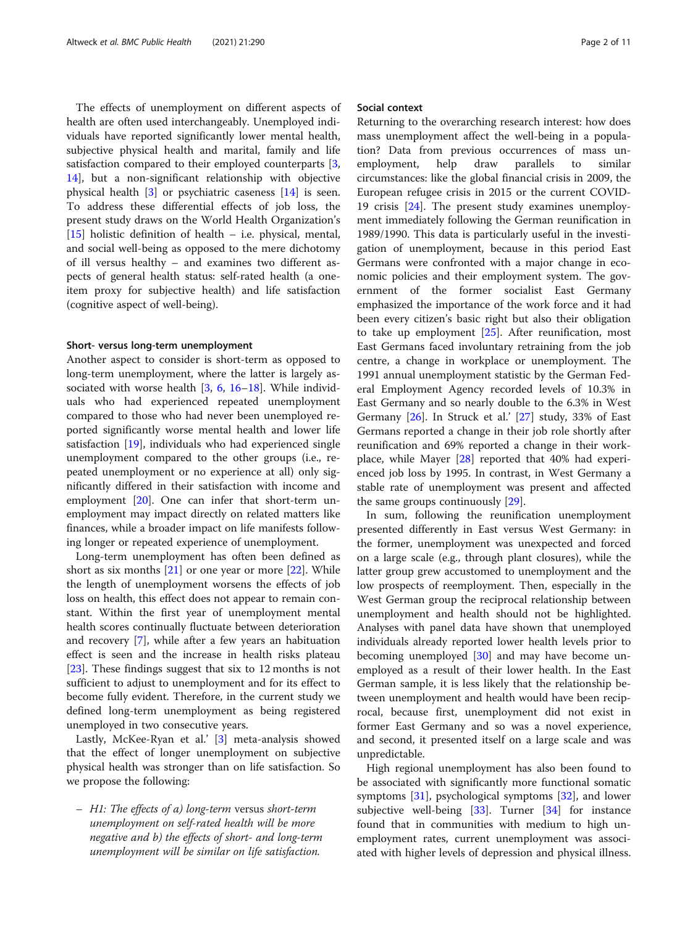The effects of unemployment on different aspects of health are often used interchangeably. Unemployed individuals have reported significantly lower mental health, subjective physical health and marital, family and life satisfaction compared to their employed counterparts [\[3](#page-9-0), [14\]](#page-9-0), but a non-significant relationship with objective physical health [\[3](#page-9-0)] or psychiatric caseness [\[14](#page-9-0)] is seen. To address these differential effects of job loss, the present study draws on the World Health Organization's [[15\]](#page-9-0) holistic definition of health - i.e. physical, mental, and social well-being as opposed to the mere dichotomy of ill versus healthy – and examines two different aspects of general health status: self-rated health (a oneitem proxy for subjective health) and life satisfaction (cognitive aspect of well-being).

#### Short- versus long-term unemployment

Another aspect to consider is short-term as opposed to long-term unemployment, where the latter is largely associated with worse health [[3](#page-9-0), [6](#page-9-0), [16](#page-9-0)–[18](#page-10-0)]. While individuals who had experienced repeated unemployment compared to those who had never been unemployed reported significantly worse mental health and lower life satisfaction [\[19\]](#page-10-0), individuals who had experienced single unemployment compared to the other groups (i.e., repeated unemployment or no experience at all) only significantly differed in their satisfaction with income and employment [[20](#page-10-0)]. One can infer that short-term unemployment may impact directly on related matters like finances, while a broader impact on life manifests following longer or repeated experience of unemployment.

Long-term unemployment has often been defined as short as six months  $[21]$  or one year or more  $[22]$  $[22]$  $[22]$ . While the length of unemployment worsens the effects of job loss on health, this effect does not appear to remain constant. Within the first year of unemployment mental health scores continually fluctuate between deterioration and recovery [\[7](#page-9-0)], while after a few years an habituation effect is seen and the increase in health risks plateau [[23\]](#page-10-0). These findings suggest that six to 12 months is not sufficient to adjust to unemployment and for its effect to become fully evident. Therefore, in the current study we defined long-term unemployment as being registered unemployed in two consecutive years.

Lastly, McKee-Ryan et al.' [\[3](#page-9-0)] meta-analysis showed that the effect of longer unemployment on subjective physical health was stronger than on life satisfaction. So we propose the following:

– H1: The effects of a) long-term versus short-term unemployment on self-rated health will be more negative and b) the effects of short- and long-term unemployment will be similar on life satisfaction.

#### Social context

Returning to the overarching research interest: how does mass unemployment affect the well-being in a population? Data from previous occurrences of mass unemployment, help draw parallels to similar circumstances: like the global financial crisis in 2009, the European refugee crisis in 2015 or the current COVID-19 crisis [\[24](#page-10-0)]. The present study examines unemployment immediately following the German reunification in 1989/1990. This data is particularly useful in the investigation of unemployment, because in this period East Germans were confronted with a major change in economic policies and their employment system. The government of the former socialist East Germany emphasized the importance of the work force and it had been every citizen's basic right but also their obligation to take up employment [[25\]](#page-10-0). After reunification, most East Germans faced involuntary retraining from the job centre, a change in workplace or unemployment. The 1991 annual unemployment statistic by the German Federal Employment Agency recorded levels of 10.3% in East Germany and so nearly double to the 6.3% in West Germany [[26\]](#page-10-0). In Struck et al.' [\[27\]](#page-10-0) study, 33% of East Germans reported a change in their job role shortly after reunification and 69% reported a change in their workplace, while Mayer [\[28\]](#page-10-0) reported that 40% had experienced job loss by 1995. In contrast, in West Germany a stable rate of unemployment was present and affected the same groups continuously [[29\]](#page-10-0).

In sum, following the reunification unemployment presented differently in East versus West Germany: in the former, unemployment was unexpected and forced on a large scale (e.g., through plant closures), while the latter group grew accustomed to unemployment and the low prospects of reemployment. Then, especially in the West German group the reciprocal relationship between unemployment and health should not be highlighted. Analyses with panel data have shown that unemployed individuals already reported lower health levels prior to becoming unemployed [[30\]](#page-10-0) and may have become unemployed as a result of their lower health. In the East German sample, it is less likely that the relationship between unemployment and health would have been reciprocal, because first, unemployment did not exist in former East Germany and so was a novel experience, and second, it presented itself on a large scale and was unpredictable.

High regional unemployment has also been found to be associated with significantly more functional somatic symptoms [\[31](#page-10-0)], psychological symptoms [[32](#page-10-0)], and lower subjective well-being [\[33](#page-10-0)]. Turner [\[34\]](#page-10-0) for instance found that in communities with medium to high unemployment rates, current unemployment was associated with higher levels of depression and physical illness.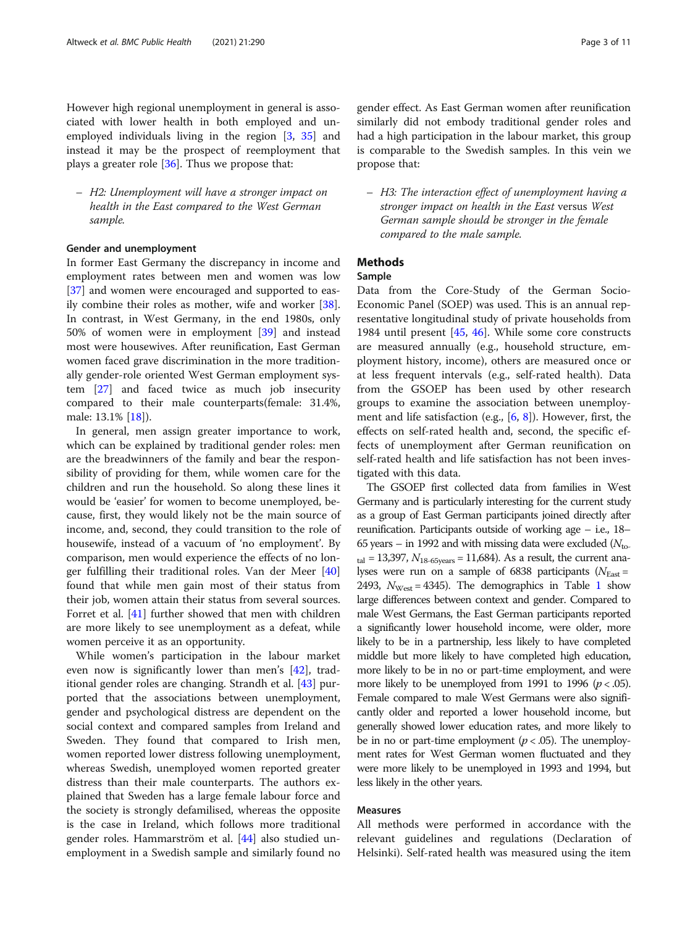However high regional unemployment in general is associated with lower health in both employed and unemployed individuals living in the region [[3,](#page-9-0) [35\]](#page-10-0) and instead it may be the prospect of reemployment that plays a greater role [[36](#page-10-0)]. Thus we propose that:

– H2: Unemployment will have a stronger impact on health in the East compared to the West German sample.

#### Gender and unemployment

In former East Germany the discrepancy in income and employment rates between men and women was low [[37\]](#page-10-0) and women were encouraged and supported to easily combine their roles as mother, wife and worker [\[38](#page-10-0)]. In contrast, in West Germany, in the end 1980s, only 50% of women were in employment [\[39](#page-10-0)] and instead most were housewives. After reunification, East German women faced grave discrimination in the more traditionally gender-role oriented West German employment system [\[27\]](#page-10-0) and faced twice as much job insecurity compared to their male counterparts(female: 31.4%, male: 13.1% [\[18\]](#page-10-0)).

In general, men assign greater importance to work, which can be explained by traditional gender roles: men are the breadwinners of the family and bear the responsibility of providing for them, while women care for the children and run the household. So along these lines it would be 'easier' for women to become unemployed, because, first, they would likely not be the main source of income, and, second, they could transition to the role of housewife, instead of a vacuum of 'no employment'. By comparison, men would experience the effects of no longer fulfilling their traditional roles. Van der Meer [[40](#page-10-0)] found that while men gain most of their status from their job, women attain their status from several sources. Forret et al. [\[41\]](#page-10-0) further showed that men with children are more likely to see unemployment as a defeat, while women perceive it as an opportunity.

While women's participation in the labour market even now is significantly lower than men's [\[42](#page-10-0)], traditional gender roles are changing. Strandh et al. [[43\]](#page-10-0) purported that the associations between unemployment, gender and psychological distress are dependent on the social context and compared samples from Ireland and Sweden. They found that compared to Irish men, women reported lower distress following unemployment, whereas Swedish, unemployed women reported greater distress than their male counterparts. The authors explained that Sweden has a large female labour force and the society is strongly defamilised, whereas the opposite is the case in Ireland, which follows more traditional gender roles. Hammarström et al. [[44\]](#page-10-0) also studied unemployment in a Swedish sample and similarly found no gender effect. As East German women after reunification similarly did not embody traditional gender roles and had a high participation in the labour market, this group is comparable to the Swedish samples. In this vein we propose that:

– H3: The interaction effect of unemployment having a stronger impact on health in the East versus West German sample should be stronger in the female compared to the male sample.

#### Methods

#### Sample

Data from the Core-Study of the German Socio-Economic Panel (SOEP) was used. This is an annual representative longitudinal study of private households from 1984 until present [\[45](#page-10-0), [46\]](#page-10-0). While some core constructs are measured annually (e.g., household structure, employment history, income), others are measured once or at less frequent intervals (e.g., self-rated health). Data from the GSOEP has been used by other research groups to examine the association between unemployment and life satisfaction (e.g.,  $[6, 8]$  $[6, 8]$  $[6, 8]$  $[6, 8]$ ). However, first, the effects on self-rated health and, second, the specific effects of unemployment after German reunification on self-rated health and life satisfaction has not been investigated with this data.

The GSOEP first collected data from families in West Germany and is particularly interesting for the current study as a group of East German participants joined directly after reunification. Participants outside of working age – i.e., 18– 65 years – in 1992 and with missing data were excluded  $(N_{\text{to-}})$  $_{\text{tal}}$  = 13,397,  $N_{18-65 \text{years}}$  = 11,684). As a result, the current analyses were run on a sample of 6838 participants ( $N_{\text{East}}$  = 2493,  $N_{West}$  = 4345). The demographics in Table [1](#page-3-0) show large differences between context and gender. Compared to male West Germans, the East German participants reported a significantly lower household income, were older, more likely to be in a partnership, less likely to have completed middle but more likely to have completed high education, more likely to be in no or part-time employment, and were more likely to be unemployed from 1991 to 1996 ( $p < .05$ ). Female compared to male West Germans were also significantly older and reported a lower household income, but generally showed lower education rates, and more likely to be in no or part-time employment ( $p < .05$ ). The unemployment rates for West German women fluctuated and they were more likely to be unemployed in 1993 and 1994, but less likely in the other years.

#### Measures

All methods were performed in accordance with the relevant guidelines and regulations (Declaration of Helsinki). Self-rated health was measured using the item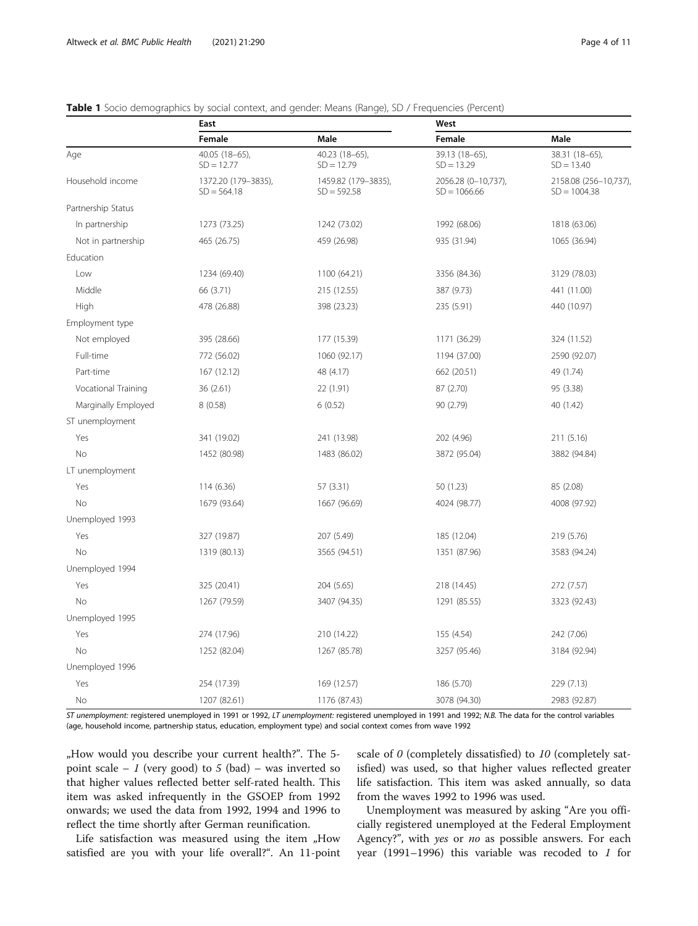|                     | East                                 |                                      | West                                  |                                        |  |  |  |
|---------------------|--------------------------------------|--------------------------------------|---------------------------------------|----------------------------------------|--|--|--|
|                     | Female                               | Male                                 | Female                                | Male                                   |  |  |  |
| Age                 | 40.05 (18-65),<br>$SD = 12.77$       | 40.23 (18-65),<br>$SD = 12.79$       | 39.13 (18-65),<br>$SD = 13.29$        | 38.31 (18-65),<br>$SD = 13.40$         |  |  |  |
| Household income    | 1372.20 (179-3835),<br>$SD = 564.18$ | 1459.82 (179-3835),<br>$SD = 592.58$ | 2056.28 (0-10,737),<br>$SD = 1066.66$ | 2158.08 (256-10,737)<br>$SD = 1004.38$ |  |  |  |
| Partnership Status  |                                      |                                      |                                       |                                        |  |  |  |
| In partnership      | 1273 (73.25)                         | 1242 (73.02)                         | 1992 (68.06)                          | 1818 (63.06)                           |  |  |  |
| Not in partnership  | 465 (26.75)                          | 459 (26.98)                          | 935 (31.94)                           | 1065 (36.94)                           |  |  |  |
| Education           |                                      |                                      |                                       |                                        |  |  |  |
| Low                 | 1234 (69.40)                         | 1100 (64.21)                         | 3356 (84.36)                          | 3129 (78.03)                           |  |  |  |
| Middle              | 66 (3.71)                            | 215 (12.55)                          | 387 (9.73)                            | 441 (11.00)                            |  |  |  |
| High                | 478 (26.88)                          | 398 (23.23)                          | 235 (5.91)                            | 440 (10.97)                            |  |  |  |
| Employment type     |                                      |                                      |                                       |                                        |  |  |  |
| Not employed        | 395 (28.66)                          | 177 (15.39)                          | 1171 (36.29)                          | 324 (11.52)                            |  |  |  |
| Full-time           | 772 (56.02)                          | 1060 (92.17)                         | 1194 (37.00)                          | 2590 (92.07)                           |  |  |  |
| Part-time           | 167 (12.12)                          | 48 (4.17)                            | 662 (20.51)                           | 49 (1.74)                              |  |  |  |
| Vocational Training | 36 (2.61)                            | 22 (1.91)                            | 87 (2.70)                             | 95 (3.38)                              |  |  |  |
| Marginally Employed | 8(0.58)                              | 6(0.52)                              | 90 (2.79)                             | 40 (1.42)                              |  |  |  |
| ST unemployment     |                                      |                                      |                                       |                                        |  |  |  |
| Yes                 | 341 (19.02)                          | 241 (13.98)                          | 202 (4.96)                            | 211 (5.16)                             |  |  |  |
| No                  | 1452 (80.98)                         | 1483 (86.02)                         | 3872 (95.04)                          | 3882 (94.84)                           |  |  |  |
| LT unemployment     |                                      |                                      |                                       |                                        |  |  |  |
| Yes                 | 114 (6.36)                           | 57 (3.31)                            | 50 (1.23)                             | 85 (2.08)                              |  |  |  |
| <b>No</b>           | 1679 (93.64)                         | 1667 (96.69)                         | 4024 (98.77)                          | 4008 (97.92)                           |  |  |  |
| Unemployed 1993     |                                      |                                      |                                       |                                        |  |  |  |
| Yes                 | 327 (19.87)                          | 207 (5.49)                           | 185 (12.04)                           | 219 (5.76)                             |  |  |  |
| <b>No</b>           | 1319 (80.13)                         | 3565 (94.51)                         | 1351 (87.96)                          | 3583 (94.24)                           |  |  |  |
| Unemployed 1994     |                                      |                                      |                                       |                                        |  |  |  |
| Yes                 | 325 (20.41)                          | 204 (5.65)                           | 218 (14.45)                           | 272 (7.57)                             |  |  |  |
| <b>No</b>           | 1267 (79.59)                         | 3407 (94.35)                         | 1291 (85.55)                          | 3323 (92.43)                           |  |  |  |
| Unemployed 1995     |                                      |                                      |                                       |                                        |  |  |  |
| Yes                 | 274 (17.96)                          | 210 (14.22)                          | 155 (4.54)                            | 242 (7.06)                             |  |  |  |
| <b>No</b>           | 1252 (82.04)                         | 1267 (85.78)                         | 3257 (95.46)                          | 3184 (92.94)                           |  |  |  |
| Unemployed 1996     |                                      |                                      |                                       |                                        |  |  |  |
| Yes                 | 254 (17.39)                          | 169 (12.57)                          | 186 (5.70)                            | 229 (7.13)                             |  |  |  |
| No                  | 1207 (82.61)                         | 1176 (87.43)                         | 3078 (94.30)                          | 2983 (92.87)                           |  |  |  |

<span id="page-3-0"></span>

| Table 1 Socio demographics by social context, and gender: Means (Range), SD / Frequencies (Percent) |  |  |  |
|-----------------------------------------------------------------------------------------------------|--|--|--|
|-----------------------------------------------------------------------------------------------------|--|--|--|

ST unemployment: registered unemployed in 1991 or 1992, LT unemployment: registered unemployed in 1991 and 1992; N.B. The data for the control variables (age, household income, partnership status, education, employment type) and social context comes from wave 1992

"How would you describe your current health?". The 5 point scale – 1 (very good) to 5 (bad) – was inverted so that higher values reflected better self-rated health. This item was asked infrequently in the GSOEP from 1992 onwards; we used the data from 1992, 1994 and 1996 to reflect the time shortly after German reunification.

Life satisfaction was measured using the item  $n$ How satisfied are you with your life overall?". An 11-point scale of 0 (completely dissatisfied) to 10 (completely satisfied) was used, so that higher values reflected greater life satisfaction. This item was asked annually, so data from the waves 1992 to 1996 was used.

Unemployment was measured by asking "Are you officially registered unemployed at the Federal Employment Agency?", with yes or no as possible answers. For each year (1991–1996) this variable was recoded to  $1$  for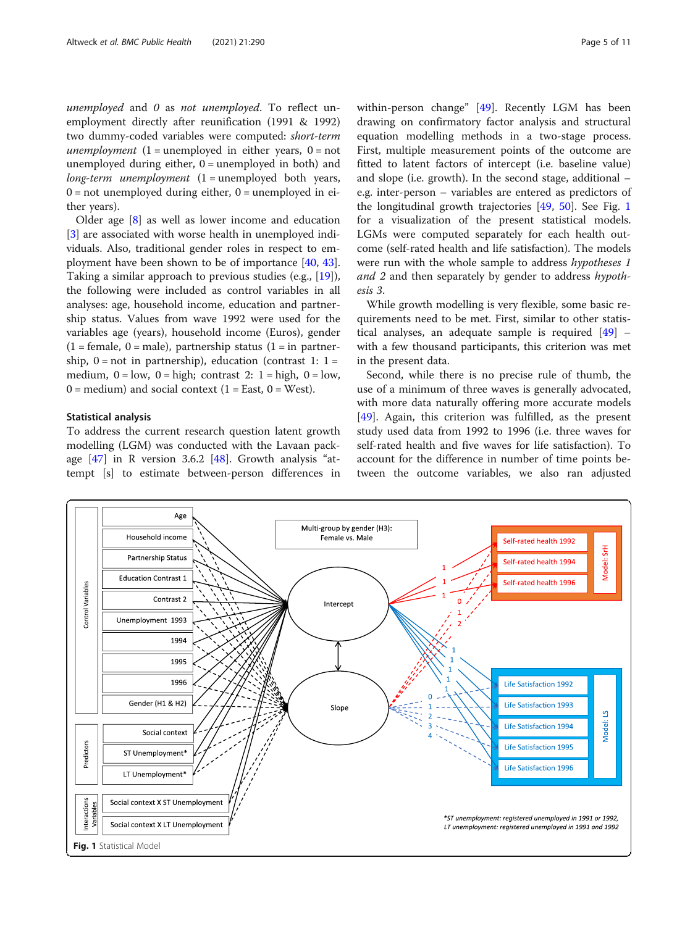unemployed and 0 as not unemployed. To reflect unemployment directly after reunification (1991 & 1992) two dummy-coded variables were computed: short-term *unemployment*  $(1 =$  unemployed in either years,  $0 =$  not unemployed during either,  $0 =$  unemployed in both) and  $long-term$  unemployment  $(1 =$  unemployed both years,  $0 = not$  unemployed during either,  $0 =$  unemployed in either years).

Older age [\[8](#page-9-0)] as well as lower income and education [[3\]](#page-9-0) are associated with worse health in unemployed individuals. Also, traditional gender roles in respect to employment have been shown to be of importance [\[40](#page-10-0), [43](#page-10-0)]. Taking a similar approach to previous studies (e.g., [\[19](#page-10-0)]), the following were included as control variables in all analyses: age, household income, education and partnership status. Values from wave 1992 were used for the variables age (years), household income (Euros), gender  $(1 =$  female,  $0 =$  male), partnership status  $(1 =$  in partnership,  $0 = not$  in partnership), education (contrast 1:  $1 =$ medium,  $0 = low$ ,  $0 = high$ ; contrast 2: 1 = high,  $0 = low$ ,  $0 =$  medium) and social context (1 = East, 0 = West).

#### Statistical analysis

To address the current research question latent growth modelling (LGM) was conducted with the Lavaan package  $[47]$  $[47]$  in R version 3.6.2  $[48]$  $[48]$  $[48]$ . Growth analysis "attempt [s] to estimate between-person differences in within-person change" [\[49](#page-10-0)]. Recently LGM has been drawing on confirmatory factor analysis and structural equation modelling methods in a two-stage process. First, multiple measurement points of the outcome are fitted to latent factors of intercept (i.e. baseline value) and slope (i.e. growth). In the second stage, additional – e.g. inter-person – variables are entered as predictors of the longitudinal growth trajectories [\[49,](#page-10-0) [50](#page-10-0)]. See Fig. 1 for a visualization of the present statistical models. LGMs were computed separately for each health outcome (self-rated health and life satisfaction). The models were run with the whole sample to address hypotheses 1 and 2 and then separately by gender to address hypothesis 3.

While growth modelling is very flexible, some basic requirements need to be met. First, similar to other statistical analyses, an adequate sample is required  $[49]$  $[49]$  – with a few thousand participants, this criterion was met in the present data.

Second, while there is no precise rule of thumb, the use of a minimum of three waves is generally advocated, with more data naturally offering more accurate models [[49\]](#page-10-0). Again, this criterion was fulfilled, as the present study used data from 1992 to 1996 (i.e. three waves for self-rated health and five waves for life satisfaction). To account for the difference in number of time points between the outcome variables, we also ran adjusted

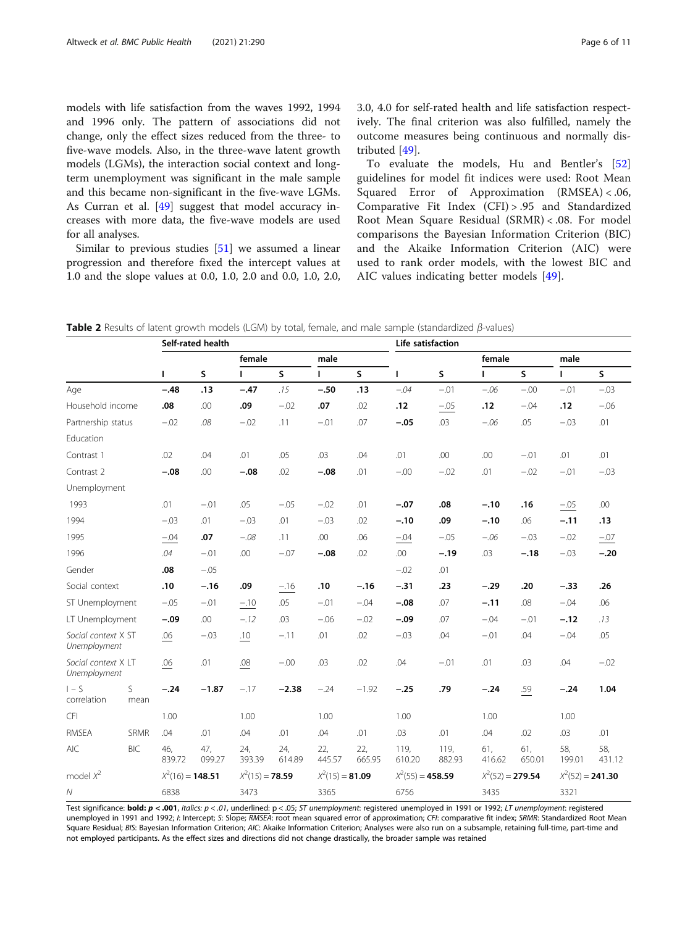<span id="page-5-0"></span>models with life satisfaction from the waves 1992, 1994 and 1996 only. The pattern of associations did not change, only the effect sizes reduced from the three- to five-wave models. Also, in the three-wave latent growth models (LGMs), the interaction social context and longterm unemployment was significant in the male sample and this became non-significant in the five-wave LGMs. As Curran et al. [\[49](#page-10-0)] suggest that model accuracy increases with more data, the five-wave models are used for all analyses.

Similar to previous studies [[51\]](#page-10-0) we assumed a linear progression and therefore fixed the intercept values at 1.0 and the slope values at 0.0, 1.0, 2.0 and 0.0, 1.0, 2.0, 3.0, 4.0 for self-rated health and life satisfaction respectively. The final criterion was also fulfilled, namely the outcome measures being continuous and normally distributed [\[49](#page-10-0)].

To evaluate the models, Hu and Bentler's [\[52](#page-10-0)] guidelines for model fit indices were used: Root Mean Squared Error of Approximation (RMSEA) < .06, Comparative Fit Index (CFI) > .95 and Standardized Root Mean Square Residual (SRMR) < .08. For model comparisons the Bayesian Information Criterion (BIC) and the Akaike Information Criterion (AIC) were used to rank order models, with the lowest BIC and AIC values indicating better models [[49\]](#page-10-0).

Table 2 Results of latent growth models (LGM) by total, female, and male sample (standardized β-values)

|                                     |             | Self-rated health                       |               |                              |                   |               | Life satisfaction  |                |                |                    |               |                    |               |
|-------------------------------------|-------------|-----------------------------------------|---------------|------------------------------|-------------------|---------------|--------------------|----------------|----------------|--------------------|---------------|--------------------|---------------|
|                                     |             |                                         | female        |                              | male              |               |                    |                | female         |                    | male          |                    |               |
|                                     |             | L                                       | S             | $\mathsf{s}$<br>$\mathbf{I}$ |                   |               | $\mathsf{s}$       | ı              | S              | L                  | $\mathsf{s}$  |                    | $\mathsf{s}$  |
| Age                                 |             | $-.48$                                  | .13           | $-.47$                       | .15               | $-.50$        | .13                | $-.04$         | $-.01$         | $-.06$             | $-.00$        | $-.01$             | $-03$         |
| Household income                    |             | .08                                     | .00           | .09                          | $-.02$            | .07           | .02                | .12            | $-0.05$        | .12                | $-.04$        | .12                | $-06$         |
| Partnership status                  |             | $-.02$                                  | .08           | $-.02$                       | .11               | $-.01$        | .07                | $-.05$         | .03            | $-.06$             | .05           | $-.03$             | .01           |
| Education                           |             |                                         |               |                              |                   |               |                    |                |                |                    |               |                    |               |
| Contrast 1                          |             | .02                                     | .04           | .01                          | .05               | .03           | .04                | .01            | .00            | .00                | $-.01$        | .01                | .01           |
| Contrast 2                          |             | $-.08$                                  | .00           | $-.08$                       | .02               | $-.08$        | .01                | $-00$          | $-02$          | .01                | $-.02$        | $-.01$             | $-03$         |
| Unemployment                        |             |                                         |               |                              |                   |               |                    |                |                |                    |               |                    |               |
| 1993                                |             | .01                                     | $-.01$        | .05                          | $-05$             | $-02$         | .01                | $-.07$         | .08            | $-.10$             | .16           | $-.05$             | .00           |
| 1994                                |             | $-03$                                   | .01           | $-.03$                       | .01               | $-03$         | .02                | $-.10$         | .09            | $-.10$             | .06           | $-.11$             | .13           |
| 1995                                |             | $-04$                                   | .07           | $-.08$                       | .11               | .00           | .06                | $-.04$         | $-05$          | $-.06$             | $-.03$        | $-.02$             | $-.07$        |
| 1996                                |             | .04                                     | $-.01$        | .00                          | $-.07$            | $-.08$        | .02                | .00            | $-.19$         | .03                | $-.18$        | $-.03$             | $-.20$        |
| Gender                              |             | .08                                     | $-.05$        |                              |                   |               |                    | $-02$          | .01            |                    |               |                    |               |
| Social context                      |             | .10                                     | $-.16$        | .09                          | $-.16$            | .10           | $-.16$             | $-.31$         | .23            | $-.29$             | .20           | $-.33$             | .26           |
| ST Unemployment                     |             | $-.05$                                  | $-.01$        | $-.10$                       | .05               | $-.01$        | $-.04$             | $-.08$         | .07            | $-.11$             | .08           | $-.04$             | .06           |
| LT Unemployment                     |             | $-.09$                                  | .00           | $-.12$                       | .03               | $-.06$        | $-.02$             | $-.09$         | .07            | $-.04$             | $-.01$        | $-.12$             | .13           |
| Social context X ST<br>Unemployment |             | .06                                     | $-.03$        | .10                          | $-.11$            | .01           | .02                | $-.03$         | .04            | $-.01$             | .04           | $-.04$             | .05           |
| Social context X LT<br>Unemployment |             | .06                                     | .01           | $.08\,$                      | $-.00$            | .03           | .02                | .04            | $-.01$         | .01                | .03           | .04                | $-.02$        |
| $I - S$<br>correlation              | S<br>mean   | $-.24$                                  | $-1.87$       | $-.17$                       | $-2.38$           | $-24$         | $-1.92$            | $-.25$         | .79            | $-.24$             | .59           | $-.24$             | 1.04          |
| CFI                                 |             | 1.00                                    |               | 1.00                         |                   | 1.00          |                    | 1.00           |                | 1.00               |               | 1.00               |               |
| <b>RMSEA</b>                        | <b>SRMR</b> | .04                                     | .01           | .04                          | .01               | .04           | .01                | .03            | .01            | .04                | .02           | .03                | .01           |
| <b>AIC</b>                          | <b>BIC</b>  | 46,<br>839.72                           | 47,<br>099.27 | 24,<br>393.39                | 24,<br>614.89     | 22,<br>445.57 | 22,<br>665.95      | 119,<br>610.20 | 119,<br>882.93 | 61,<br>416.62      | 61,<br>650.01 | 58,<br>199.01      | 58,<br>431.12 |
| model $X^2$                         |             | $X^2(16) = 148.51$<br>$X^2(15) = 78.59$ |               |                              | $X^2(15) = 81.09$ |               | $X^2(55) = 458.59$ |                |                | $X^2(52) = 279.54$ |               | $X^2(52) = 241.30$ |               |
| ${\cal N}$                          |             | 6838                                    |               | 3473                         |                   | 3365          |                    | 6756           |                | 3435               |               | 3321               |               |

Test significance: bold:  $p < .001$ , italics:  $p < .01$ , underlined:  $p < .05$ ; ST unemployment: registered unemployed in 1991 or 1992; LT unemployment: registered unemployed in 1991 and 1992; I: Intercept; S: Slope; RMSEA: root mean squared error of approximation; CFI: comparative fit index; SRMR: Standardized Root Mean Square Residual; BIS: Bayesian Information Criterion; AIC: Akaike Information Criterion; Analyses were also run on a subsample, retaining full-time, part-time and not employed participants. As the effect sizes and directions did not change drastically, the broader sample was retained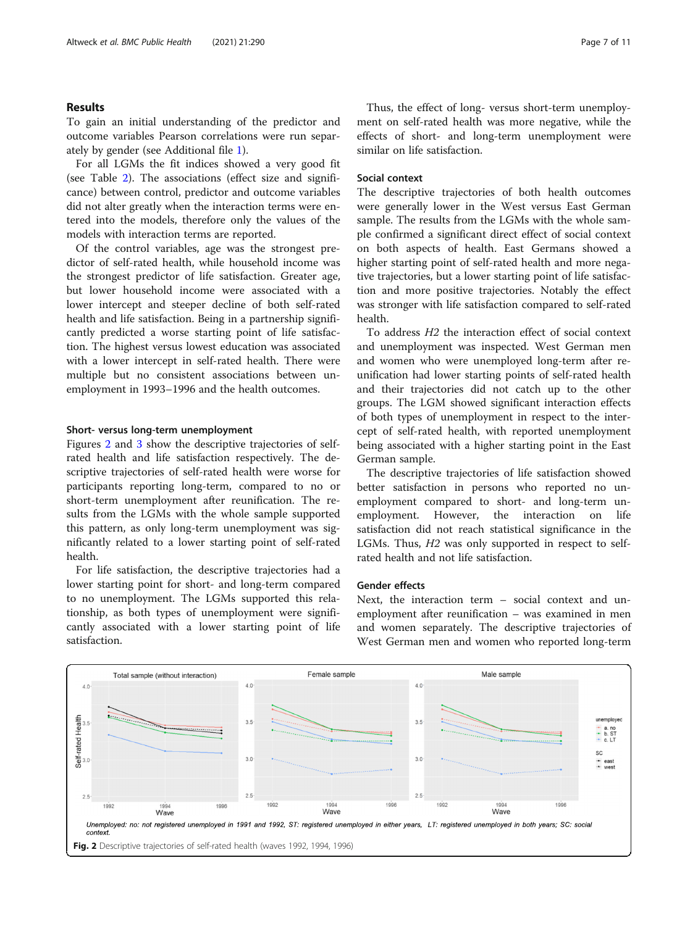#### Results

To gain an initial understanding of the predictor and outcome variables Pearson correlations were run separately by gender (see Additional file [1\)](#page-9-0).

For all LGMs the fit indices showed a very good fit (see Table [2\)](#page-5-0). The associations (effect size and significance) between control, predictor and outcome variables did not alter greatly when the interaction terms were entered into the models, therefore only the values of the models with interaction terms are reported.

Of the control variables, age was the strongest predictor of self-rated health, while household income was the strongest predictor of life satisfaction. Greater age, but lower household income were associated with a lower intercept and steeper decline of both self-rated health and life satisfaction. Being in a partnership significantly predicted a worse starting point of life satisfaction. The highest versus lowest education was associated with a lower intercept in self-rated health. There were multiple but no consistent associations between unemployment in 1993–1996 and the health outcomes.

#### Short- versus long-term unemployment

Figures 2 and [3](#page-7-0) show the descriptive trajectories of selfrated health and life satisfaction respectively. The descriptive trajectories of self-rated health were worse for participants reporting long-term, compared to no or short-term unemployment after reunification. The results from the LGMs with the whole sample supported this pattern, as only long-term unemployment was significantly related to a lower starting point of self-rated health.

For life satisfaction, the descriptive trajectories had a lower starting point for short- and long-term compared to no unemployment. The LGMs supported this relationship, as both types of unemployment were significantly associated with a lower starting point of life satisfaction.

Thus, the effect of long- versus short-term unemployment on self-rated health was more negative, while the effects of short- and long-term unemployment were similar on life satisfaction.

#### Social context

The descriptive trajectories of both health outcomes were generally lower in the West versus East German sample. The results from the LGMs with the whole sample confirmed a significant direct effect of social context on both aspects of health. East Germans showed a higher starting point of self-rated health and more negative trajectories, but a lower starting point of life satisfaction and more positive trajectories. Notably the effect was stronger with life satisfaction compared to self-rated health.

To address H2 the interaction effect of social context and unemployment was inspected. West German men and women who were unemployed long-term after reunification had lower starting points of self-rated health and their trajectories did not catch up to the other groups. The LGM showed significant interaction effects of both types of unemployment in respect to the intercept of self-rated health, with reported unemployment being associated with a higher starting point in the East German sample.

The descriptive trajectories of life satisfaction showed better satisfaction in persons who reported no unemployment compared to short- and long-term unemployment. However, the interaction on life satisfaction did not reach statistical significance in the LGMs. Thus, H2 was only supported in respect to selfrated health and not life satisfaction.

#### Gender effects

Next, the interaction term – social context and unemployment after reunification – was examined in men and women separately. The descriptive trajectories of West German men and women who reported long-term

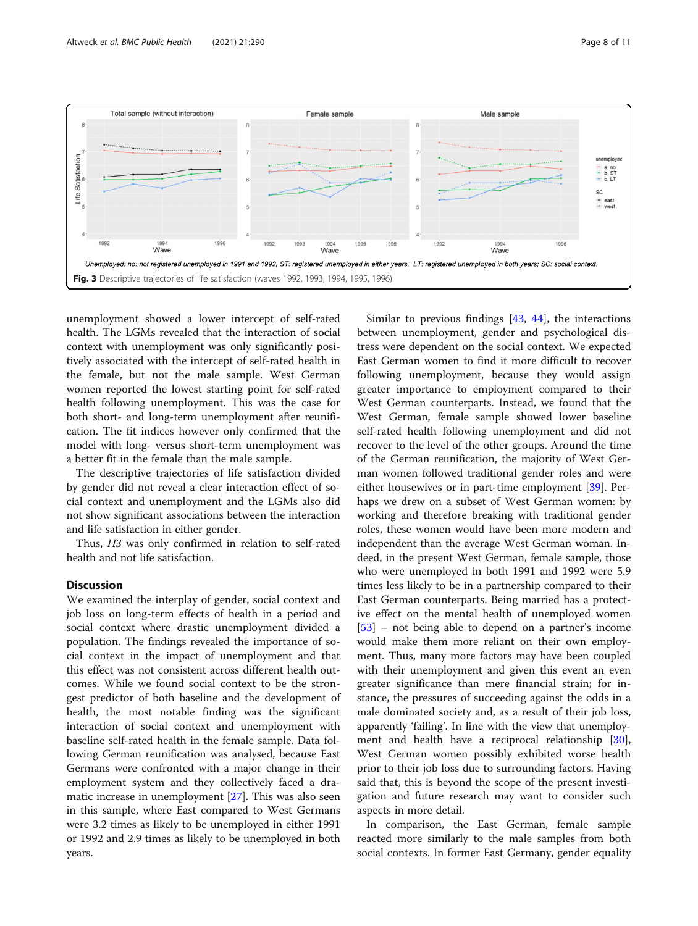<span id="page-7-0"></span>

unemployment showed a lower intercept of self-rated health. The LGMs revealed that the interaction of social context with unemployment was only significantly positively associated with the intercept of self-rated health in the female, but not the male sample. West German women reported the lowest starting point for self-rated health following unemployment. This was the case for both short- and long-term unemployment after reunification. The fit indices however only confirmed that the model with long- versus short-term unemployment was a better fit in the female than the male sample.

The descriptive trajectories of life satisfaction divided by gender did not reveal a clear interaction effect of social context and unemployment and the LGMs also did not show significant associations between the interaction and life satisfaction in either gender.

Thus, H3 was only confirmed in relation to self-rated health and not life satisfaction.

#### Discussion

We examined the interplay of gender, social context and job loss on long-term effects of health in a period and social context where drastic unemployment divided a population. The findings revealed the importance of social context in the impact of unemployment and that this effect was not consistent across different health outcomes. While we found social context to be the strongest predictor of both baseline and the development of health, the most notable finding was the significant interaction of social context and unemployment with baseline self-rated health in the female sample. Data following German reunification was analysed, because East Germans were confronted with a major change in their employment system and they collectively faced a dramatic increase in unemployment [[27\]](#page-10-0). This was also seen in this sample, where East compared to West Germans were 3.2 times as likely to be unemployed in either 1991 or 1992 and 2.9 times as likely to be unemployed in both years.

Similar to previous findings [[43](#page-10-0), [44\]](#page-10-0), the interactions between unemployment, gender and psychological distress were dependent on the social context. We expected East German women to find it more difficult to recover following unemployment, because they would assign greater importance to employment compared to their West German counterparts. Instead, we found that the West German, female sample showed lower baseline self-rated health following unemployment and did not recover to the level of the other groups. Around the time of the German reunification, the majority of West German women followed traditional gender roles and were either housewives or in part-time employment [\[39\]](#page-10-0). Perhaps we drew on a subset of West German women: by working and therefore breaking with traditional gender roles, these women would have been more modern and independent than the average West German woman. Indeed, in the present West German, female sample, those who were unemployed in both 1991 and 1992 were 5.9 times less likely to be in a partnership compared to their East German counterparts. Being married has a protective effect on the mental health of unemployed women [[53\]](#page-10-0) – not being able to depend on a partner's income would make them more reliant on their own employment. Thus, many more factors may have been coupled with their unemployment and given this event an even greater significance than mere financial strain; for instance, the pressures of succeeding against the odds in a male dominated society and, as a result of their job loss, apparently 'failing'. In line with the view that unemployment and health have a reciprocal relationship [\[30](#page-10-0)], West German women possibly exhibited worse health prior to their job loss due to surrounding factors. Having said that, this is beyond the scope of the present investigation and future research may want to consider such aspects in more detail.

In comparison, the East German, female sample reacted more similarly to the male samples from both social contexts. In former East Germany, gender equality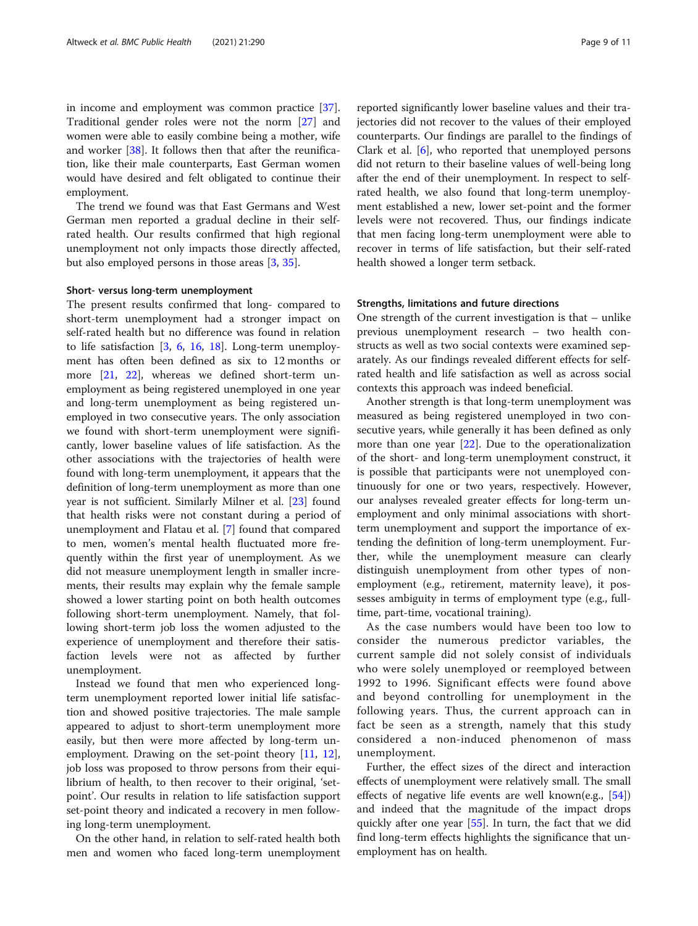in income and employment was common practice [\[37](#page-10-0)]. Traditional gender roles were not the norm [\[27](#page-10-0)] and women were able to easily combine being a mother, wife and worker [[38](#page-10-0)]. It follows then that after the reunification, like their male counterparts, East German women would have desired and felt obligated to continue their employment.

The trend we found was that East Germans and West German men reported a gradual decline in their selfrated health. Our results confirmed that high regional unemployment not only impacts those directly affected, but also employed persons in those areas [\[3](#page-9-0), [35\]](#page-10-0).

#### Short- versus long-term unemployment

The present results confirmed that long- compared to short-term unemployment had a stronger impact on self-rated health but no difference was found in relation to life satisfaction  $[3, 6, 16, 18]$  $[3, 6, 16, 18]$  $[3, 6, 16, 18]$  $[3, 6, 16, 18]$  $[3, 6, 16, 18]$  $[3, 6, 16, 18]$  $[3, 6, 16, 18]$  $[3, 6, 16, 18]$ . Long-term unemployment has often been defined as six to 12 months or more [\[21](#page-10-0), [22](#page-10-0)], whereas we defined short-term unemployment as being registered unemployed in one year and long-term unemployment as being registered unemployed in two consecutive years. The only association we found with short-term unemployment were significantly, lower baseline values of life satisfaction. As the other associations with the trajectories of health were found with long-term unemployment, it appears that the definition of long-term unemployment as more than one year is not sufficient. Similarly Milner et al. [[23](#page-10-0)] found that health risks were not constant during a period of unemployment and Flatau et al. [\[7\]](#page-9-0) found that compared to men, women's mental health fluctuated more frequently within the first year of unemployment. As we did not measure unemployment length in smaller increments, their results may explain why the female sample showed a lower starting point on both health outcomes following short-term unemployment. Namely, that following short-term job loss the women adjusted to the experience of unemployment and therefore their satisfaction levels were not as affected by further unemployment.

Instead we found that men who experienced longterm unemployment reported lower initial life satisfaction and showed positive trajectories. The male sample appeared to adjust to short-term unemployment more easily, but then were more affected by long-term unemployment. Drawing on the set-point theory [\[11](#page-9-0), [12](#page-9-0)], job loss was proposed to throw persons from their equilibrium of health, to then recover to their original, 'setpoint'. Our results in relation to life satisfaction support set-point theory and indicated a recovery in men following long-term unemployment.

On the other hand, in relation to self-rated health both men and women who faced long-term unemployment

reported significantly lower baseline values and their trajectories did not recover to the values of their employed counterparts. Our findings are parallel to the findings of Clark et al. [[6\]](#page-9-0), who reported that unemployed persons did not return to their baseline values of well-being long after the end of their unemployment. In respect to selfrated health, we also found that long-term unemployment established a new, lower set-point and the former levels were not recovered. Thus, our findings indicate that men facing long-term unemployment were able to recover in terms of life satisfaction, but their self-rated health showed a longer term setback.

#### Strengths, limitations and future directions

One strength of the current investigation is that – unlike previous unemployment research – two health constructs as well as two social contexts were examined separately. As our findings revealed different effects for selfrated health and life satisfaction as well as across social contexts this approach was indeed beneficial.

Another strength is that long-term unemployment was measured as being registered unemployed in two consecutive years, while generally it has been defined as only more than one year [[22](#page-10-0)]. Due to the operationalization of the short- and long-term unemployment construct, it is possible that participants were not unemployed continuously for one or two years, respectively. However, our analyses revealed greater effects for long-term unemployment and only minimal associations with shortterm unemployment and support the importance of extending the definition of long-term unemployment. Further, while the unemployment measure can clearly distinguish unemployment from other types of nonemployment (e.g., retirement, maternity leave), it possesses ambiguity in terms of employment type (e.g., fulltime, part-time, vocational training).

As the case numbers would have been too low to consider the numerous predictor variables, the current sample did not solely consist of individuals who were solely unemployed or reemployed between 1992 to 1996. Significant effects were found above and beyond controlling for unemployment in the following years. Thus, the current approach can in fact be seen as a strength, namely that this study considered a non-induced phenomenon of mass unemployment.

Further, the effect sizes of the direct and interaction effects of unemployment were relatively small. The small effects of negative life events are well known(e.g.,  $[54]$  $[54]$ ) and indeed that the magnitude of the impact drops quickly after one year [[55\]](#page-10-0). In turn, the fact that we did find long-term effects highlights the significance that unemployment has on health.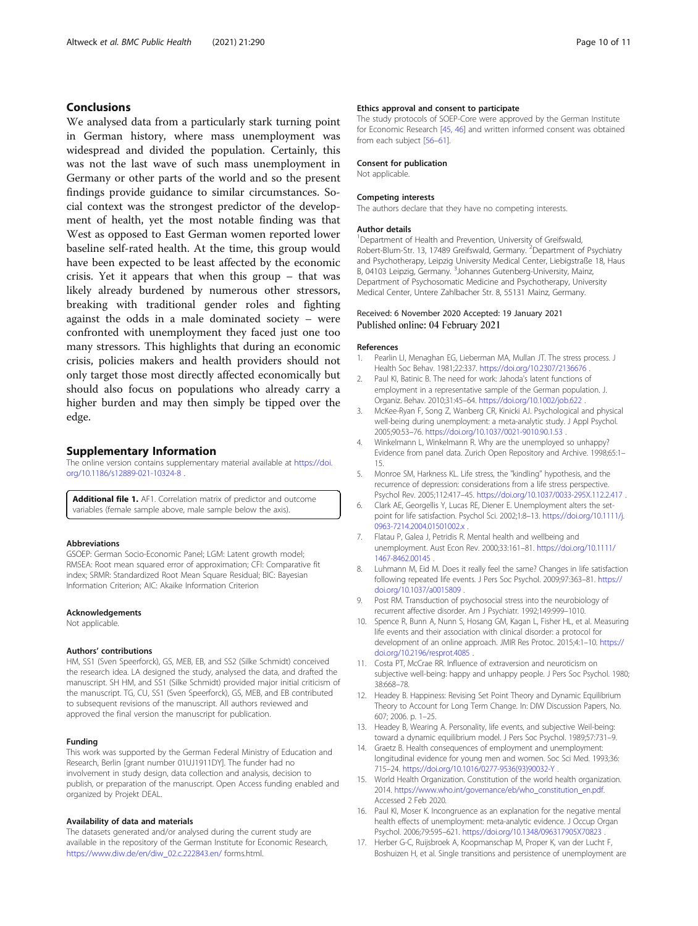#### <span id="page-9-0"></span>Conclusions

We analysed data from a particularly stark turning point in German history, where mass unemployment was widespread and divided the population. Certainly, this was not the last wave of such mass unemployment in Germany or other parts of the world and so the present findings provide guidance to similar circumstances. Social context was the strongest predictor of the development of health, yet the most notable finding was that West as opposed to East German women reported lower baseline self-rated health. At the time, this group would have been expected to be least affected by the economic crisis. Yet it appears that when this group – that was likely already burdened by numerous other stressors, breaking with traditional gender roles and fighting against the odds in a male dominated society – were confronted with unemployment they faced just one too many stressors. This highlights that during an economic crisis, policies makers and health providers should not only target those most directly affected economically but should also focus on populations who already carry a higher burden and may then simply be tipped over the edge.

#### Supplementary Information

The online version contains supplementary material available at https://doi. org/10.1186/s12889-021-10324-8 .

Additional file 1. AF1. Correlation matrix of predictor and outcome variables (female sample above, male sample below the axis).

#### Abbreviations

GSOEP: German Socio-Economic Panel; LGM: Latent growth model; RMSEA: Root mean squared error of approximation; CFI: Comparative fit index; SRMR: Standardized Root Mean Square Residual; BIC: Bayesian Information Criterion; AIC: Akaike Information Criterion

#### Acknowledgements

Not applicable.

#### Authors' contributions

HM, SS1 (Sven Speerforck), GS, MEB, EB, and SS2 (Silke Schmidt) conceived the research idea. LA designed the study, analysed the data, and drafted the manuscript. SH HM, and SS1 (Silke Schmidt) provided major initial criticism of the manuscript. TG, CU, SS1 (Sven Speerforck), GS, MEB, and EB contributed to subsequent revisions of the manuscript. All authors reviewed and approved the final version the manuscript for publication.

#### Funding

This work was supported by the German Federal Ministry of Education and Research, Berlin [grant number 01UJ1911DY]. The funder had no involvement in study design, data collection and analysis, decision to publish, or preparation of the manuscript. Open Access funding enabled and organized by Projekt DEAL.

#### Availability of data and materials

The datasets generated and/or analysed during the current study are available in the repository of the German Institute for Economic Research, [https://www.diw.de/en/diw\\_02.c.222843.en/](https://www.diw.de/en/diw_02.c.222843.en/) forms.html.

#### Ethics approval and consent to participate

The study protocols of SOEP-Core were approved by the German Institute for Economic Research [[45,](#page-10-0) [46\]](#page-10-0) and written informed consent was obtained from each subject [\[56](#page-10-0)–[61](#page-10-0)].

#### Consent for publication

Not applicable.

#### Competing interests

The authors declare that they have no competing interests.

#### Author details

<sup>1</sup>Department of Health and Prevention, University of Greifswald, Robert-Blum-Str. 13, 17489 Greifswald, Germany. <sup>2</sup>Department of Psychiatry and Psychotherapy, Leipzig University Medical Center, Liebigstraße 18, Haus B, 04103 Leipzig, Germany. <sup>3</sup>Johannes Gutenberg-University, Mainz Department of Psychosomatic Medicine and Psychotherapy, University Medical Center, Untere Zahlbacher Str. 8, 55131 Mainz, Germany.

#### Received: 6 November 2020 Accepted: 19 January 2021 Published online: 04 February 2021

#### References

- 1. Pearlin LI, Menaghan EG, Lieberman MA, Mullan JT. The stress process. J Health Soc Behav. 1981;22:337. <https://doi.org/10.2307/2136676> .
- 2. Paul KI, Batinic B. The need for work: Jahoda's latent functions of employment in a representative sample of the German population. J. Organiz. Behav. 2010;31:45–64. <https://doi.org/10.1002/job.622> .
- 3. McKee-Ryan F, Song Z, Wanberg CR, Kinicki AJ. Psychological and physical well-being during unemployment: a meta-analytic study. J Appl Psychol. 2005;90:53–76. <https://doi.org/10.1037/0021-9010.90.1.53> .
- 4. Winkelmann L, Winkelmann R. Why are the unemployed so unhappy? Evidence from panel data. Zurich Open Repository and Archive. 1998;65:1– 15.
- 5. Monroe SM, Harkness KL. Life stress, the "kindling" hypothesis, and the recurrence of depression: considerations from a life stress perspective. Psychol Rev. 2005;112:417–45. <https://doi.org/10.1037/0033-295X.112.2.417> .
- 6. Clark AE, Georgellis Y, Lucas RE, Diener E. Unemployment alters the setpoint for life satisfaction. Psychol Sci. 2002;1:8–13. [https://doi.org/10.1111/j.](https://doi.org/10.1111/j.0963-7214.2004.01501002.x) [0963-7214.2004.01501002.x](https://doi.org/10.1111/j.0963-7214.2004.01501002.x) .
- Flatau P, Galea J, Petridis R. Mental health and wellbeing and unemployment. Aust Econ Rev. 2000;33:161–81. [https://doi.org/10.1111/](https://doi.org/10.1111/1467-8462.00145) [1467-8462.00145](https://doi.org/10.1111/1467-8462.00145) .
- 8. Luhmann M, Eid M. Does it really feel the same? Changes in life satisfaction following repeated life events. J Pers Soc Psychol. 2009;97:363–81. [https://](https://doi.org/10.1037/a0015809) [doi.org/10.1037/a0015809](https://doi.org/10.1037/a0015809) .
- 9. Post RM. Transduction of psychosocial stress into the neurobiology of recurrent affective disorder. Am J Psychiatr. 1992;149:999–1010.
- 10. Spence R, Bunn A, Nunn S, Hosang GM, Kagan L, Fisher HL, et al. Measuring life events and their association with clinical disorder: a protocol for development of an online approach. JMIR Res Protoc. 2015;4:1–10. [https://](https://doi.org/10.2196/resprot.4085) [doi.org/10.2196/resprot.4085](https://doi.org/10.2196/resprot.4085) .
- 11. Costa PT, McCrae RR. Influence of extraversion and neuroticism on subjective well-being: happy and unhappy people. J Pers Soc Psychol. 1980; 38:668–78.
- 12. Headey B. Happiness: Revising Set Point Theory and Dynamic Equilibrium Theory to Account for Long Term Change. In: DIW Discussion Papers, No. 607; 2006. p. 1–25.
- 13. Headey B, Wearing A. Personality, life events, and subjective Weil-being: toward a dynamic equilibrium model. J Pers Soc Psychol. 1989;57:731–9.
- 14. Graetz B. Health consequences of employment and unemployment: longitudinal evidence for young men and women. Soc Sci Med. 1993;36: 715–24. [https://doi.org/10.1016/0277-9536\(93\)90032-Y](https://doi.org/10.1016/0277-9536(93)90032-Y) .
- 15. World Health Organization. Constitution of the world health organization. 2014. [https://www.who.int/governance/eb/who\\_constitution\\_en.pdf](https://www.who.int/governance/eb/who_constitution_en.pdf). Accessed 2 Feb 2020.
- 16. Paul KI, Moser K. Incongruence as an explanation for the negative mental health effects of unemployment: meta-analytic evidence. J Occup Organ Psychol. 2006;79:595–621. <https://doi.org/10.1348/096317905X70823> .
- 17. Herber G-C, Ruijsbroek A, Koopmanschap M, Proper K, van der Lucht F, Boshuizen H, et al. Single transitions and persistence of unemployment are